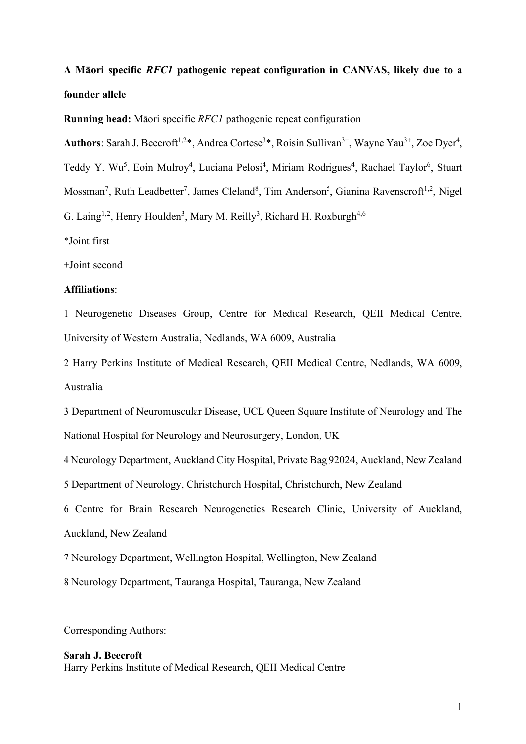# **A Māori specific** *RFC1* **pathogenic repeat configuration in CANVAS, likely due to a founder allele**

**Running head:** Māori specific *RFC1* pathogenic repeat configuration

Authors: Sarah J. Beecroft<sup>1,2</sup>\*, Andrea Cortese<sup>3</sup>\*, Roisin Sullivan<sup>3+</sup>, Wayne Yau<sup>3+</sup>, Zoe Dyer<sup>4</sup>, Teddy Y. Wu<sup>5</sup>, Eoin Mulroy<sup>4</sup>, Luciana Pelosi<sup>4</sup>, Miriam Rodrigues<sup>4</sup>, Rachael Taylor<sup>6</sup>, Stuart Mossman<sup>7</sup>, Ruth Leadbetter<sup>7</sup>, James Cleland<sup>8</sup>, Tim Anderson<sup>5</sup>, Gianina Ravenscroft<sup>1,2</sup>, Nigel G. Laing<sup>1,2</sup>, Henry Houlden<sup>3</sup>, Mary M. Reilly<sup>3</sup>, Richard H. Roxburgh<sup>4,6</sup>

\*Joint first

+Joint second

# **Affiliations**:

1 Neurogenetic Diseases Group, Centre for Medical Research, QEII Medical Centre, University of Western Australia, Nedlands, WA 6009, Australia

2 Harry Perkins Institute of Medical Research, QEII Medical Centre, Nedlands, WA 6009, Australia

3 Department of Neuromuscular Disease, UCL Queen Square Institute of Neurology and The National Hospital for Neurology and Neurosurgery, London, UK

4 Neurology Department, Auckland City Hospital, Private Bag 92024, Auckland, New Zealand

5 Department of Neurology, Christchurch Hospital, Christchurch, New Zealand

6 Centre for Brain Research Neurogenetics Research Clinic, University of Auckland, Auckland, New Zealand

7 Neurology Department, Wellington Hospital, Wellington, New Zealand

8 Neurology Department, Tauranga Hospital, Tauranga, New Zealand

Corresponding Authors:

#### **Sarah J. Beecroft**

Harry Perkins Institute of Medical Research, QEII Medical Centre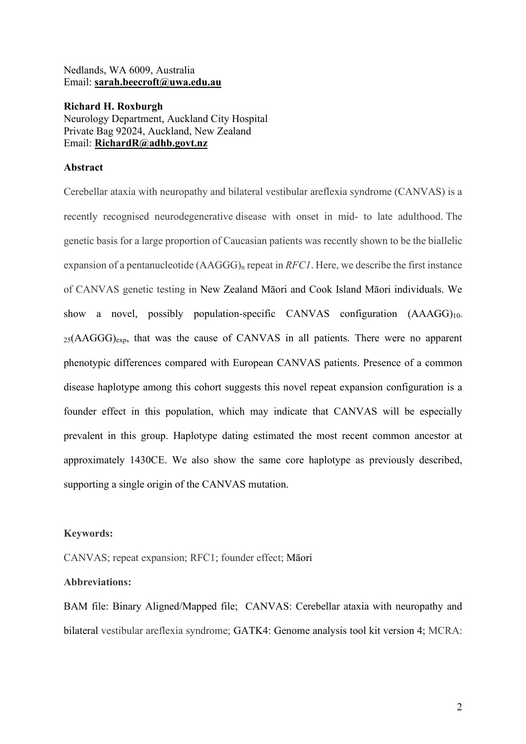# Nedlands, WA 6009, Australia Email: **sarah.beecroft@uwa.edu.au**

**Richard H. Roxburgh** Neurology Department, Auckland City Hospital Private Bag 92024, Auckland, New Zealand Email: **RichardR@adhb.govt.nz**

# **Abstract**

Cerebellar ataxia with neuropathy and bilateral vestibular areflexia syndrome (CANVAS) is a recently recognised neurodegenerative disease with onset in mid- to late adulthood. The genetic basis for a large proportion of Caucasian patients was recently shown to be the biallelic expansion of a pentanucleotide (AAGGG)<sub>n</sub> repeat in *RFC1*. Here, we describe the first instance of CANVAS genetic testing in New Zealand Māori and Cook Island Māori individuals. We show a novel, possibly population-specific CANVAS configuration  $(AAAGG)_{10}$  $25(AAGGG)_{exp}$ , that was the cause of CANVAS in all patients. There were no apparent phenotypic differences compared with European CANVAS patients. Presence of a common disease haplotype among this cohort suggests this novel repeat expansion configuration is a founder effect in this population, which may indicate that CANVAS will be especially prevalent in this group. Haplotype dating estimated the most recent common ancestor at approximately 1430CE. We also show the same core haplotype as previously described, supporting a single origin of the CANVAS mutation.

# **Keywords:**

CANVAS; repeat expansion; RFC1; founder effect; Māori

# **Abbreviations:**

BAM file: Binary Aligned/Mapped file; CANVAS: Cerebellar ataxia with neuropathy and bilateral vestibular areflexia syndrome; GATK4: Genome analysis tool kit version 4; MCRA: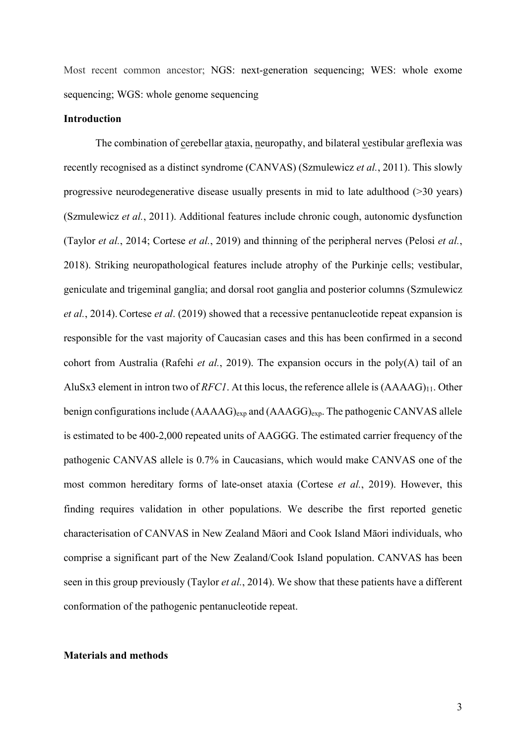Most recent common ancestor; NGS: next-generation sequencing; WES: whole exome sequencing; WGS: whole genome sequencing

## **Introduction**

The combination of cerebellar ataxia, neuropathy, and bilateral vestibular areflexia was recently recognised as a distinct syndrome (CANVAS) (Szmulewicz *et al.*, 2011). This slowly progressive neurodegenerative disease usually presents in mid to late adulthood (>30 years) (Szmulewicz *et al.*, 2011). Additional features include chronic cough, autonomic dysfunction (Taylor *et al.*, 2014; Cortese *et al.*, 2019) and thinning of the peripheral nerves (Pelosi *et al.*, 2018). Striking neuropathological features include atrophy of the Purkinje cells; vestibular, geniculate and trigeminal ganglia; and dorsal root ganglia and posterior columns (Szmulewicz *et al.*, 2014). Cortese *et al*. (2019) showed that a recessive pentanucleotide repeat expansion is responsible for the vast majority of Caucasian cases and this has been confirmed in a second cohort from Australia (Rafehi *et al.*, 2019). The expansion occurs in the poly(A) tail of an AluSx3 element in intron two of *RFC1*. At this locus, the reference allele is  $(AAAAG)_{11}$ . Other benign configurations include (AAAAG)<sub>exp</sub> and (AAAGG)<sub>exp</sub>. The pathogenic CANVAS allele is estimated to be 400-2,000 repeated units of AAGGG. The estimated carrier frequency of the pathogenic CANVAS allele is 0.7% in Caucasians, which would make CANVAS one of the most common hereditary forms of late-onset ataxia (Cortese *et al.*, 2019). However, this finding requires validation in other populations. We describe the first reported genetic characterisation of CANVAS in New Zealand Māori and Cook Island Māori individuals, who comprise a significant part of the New Zealand/Cook Island population. CANVAS has been seen in this group previously (Taylor *et al.*, 2014). We show that these patients have a different conformation of the pathogenic pentanucleotide repeat.

#### **Materials and methods**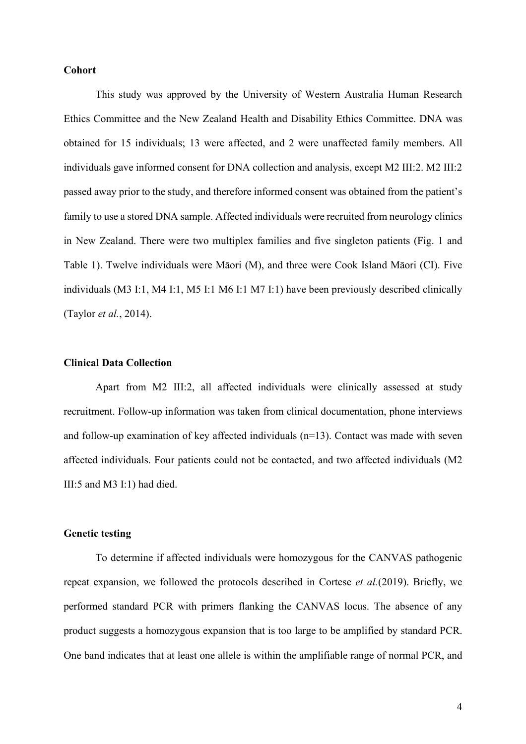## **Cohort**

This study was approved by the University of Western Australia Human Research Ethics Committee and the New Zealand Health and Disability Ethics Committee. DNA was obtained for 15 individuals; 13 were affected, and 2 were unaffected family members. All individuals gave informed consent for DNA collection and analysis, except M2 III:2. M2 III:2 passed away prior to the study, and therefore informed consent was obtained from the patient's family to use a stored DNA sample. Affected individuals were recruited from neurology clinics in New Zealand. There were two multiplex families and five singleton patients (Fig. 1 and Table 1). Twelve individuals were Māori (M), and three were Cook Island Māori (CI). Five individuals (M3 I:1, M4 I:1, M5 I:1 M6 I:1 M7 I:1) have been previously described clinically (Taylor *et al.*, 2014).

# **Clinical Data Collection**

Apart from M2 III:2, all affected individuals were clinically assessed at study recruitment. Follow-up information was taken from clinical documentation, phone interviews and follow-up examination of key affected individuals (n=13). Contact was made with seven affected individuals. Four patients could not be contacted, and two affected individuals (M2 III:5 and M3 I:1) had died.

#### **Genetic testing**

To determine if affected individuals were homozygous for the CANVAS pathogenic repeat expansion, we followed the protocols described in Cortese *et al.*(2019). Briefly, we performed standard PCR with primers flanking the CANVAS locus. The absence of any product suggests a homozygous expansion that is too large to be amplified by standard PCR. One band indicates that at least one allele is within the amplifiable range of normal PCR, and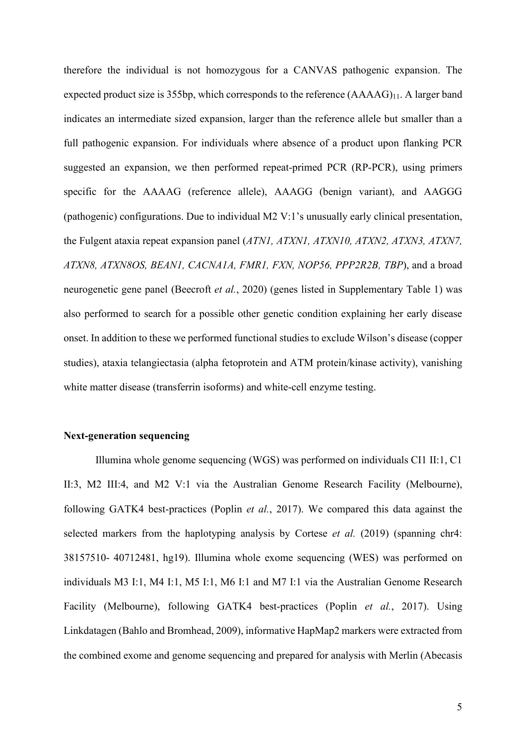therefore the individual is not homozygous for a CANVAS pathogenic expansion. The expected product size is 355bp, which corresponds to the reference  $(AAAAG)_{11}$ . A larger band indicates an intermediate sized expansion, larger than the reference allele but smaller than a full pathogenic expansion. For individuals where absence of a product upon flanking PCR suggested an expansion, we then performed repeat-primed PCR (RP-PCR), using primers specific for the AAAAG (reference allele), AAAGG (benign variant), and AAGGG (pathogenic) configurations. Due to individual M2 V:1's unusually early clinical presentation, the Fulgent ataxia repeat expansion panel (*ATN1, ATXN1, ATXN10, ATXN2, ATXN3, ATXN7, ATXN8, ATXN8OS, BEAN1, CACNA1A, FMR1, FXN, NOP56, PPP2R2B, TBP*), and a broad neurogenetic gene panel (Beecroft *et al.*, 2020) (genes listed in Supplementary Table 1) was also performed to search for a possible other genetic condition explaining her early disease onset. In addition to these we performed functional studies to exclude Wilson's disease (copper studies), ataxia telangiectasia (alpha fetoprotein and ATM protein/kinase activity), vanishing white matter disease (transferrin isoforms) and white-cell enzyme testing.

#### **Next-generation sequencing**

Illumina whole genome sequencing (WGS) was performed on individuals CI1 II:1, C1 II:3, M2 III:4, and M2 V:1 via the Australian Genome Research Facility (Melbourne), following GATK4 best-practices (Poplin *et al.*, 2017). We compared this data against the selected markers from the haplotyping analysis by Cortese *et al.* (2019) (spanning chr4: 38157510- 40712481, hg19). Illumina whole exome sequencing (WES) was performed on individuals M3 I:1, M4 I:1, M5 I:1, M6 I:1 and M7 I:1 via the Australian Genome Research Facility (Melbourne), following GATK4 best-practices (Poplin *et al.*, 2017). Using Linkdatagen (Bahlo and Bromhead, 2009), informative HapMap2 markers were extracted from the combined exome and genome sequencing and prepared for analysis with Merlin (Abecasis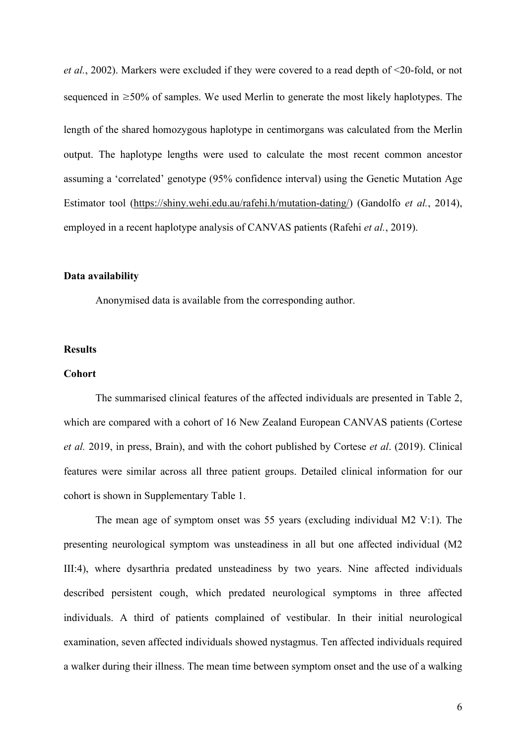*et al.*, 2002). Markers were excluded if they were covered to a read depth of <20-fold, or not sequenced in ≥50% of samples. We used Merlin to generate the most likely haplotypes. The length of the shared homozygous haplotype in centimorgans was calculated from the Merlin output. The haplotype lengths were used to calculate the most recent common ancestor assuming a 'correlated' genotype (95% confidence interval) using the Genetic Mutation Age Estimator tool ([https://shiny.wehi.edu.au/rafehi.h/mutation](https://shiny.wehi.edu.au/rafehi.h/mutation-dating/)-dating/) (Gandolfo *et al.*, 2014), employed in a recent haplotype analysis of CANVAS patients (Rafehi *et al.*, 2019).

#### **Data availability**

Anonymised data is available from the corresponding author.

#### **Results**

# **Cohort**

The summarised clinical features of the affected individuals are presented in Table 2, which are compared with a cohort of 16 New Zealand European CANVAS patients (Cortese *et al.* 2019, in press, Brain), and with the cohort published by Cortese *et al*. (2019). Clinical features were similar across all three patient groups. Detailed clinical information for our cohort is shown in Supplementary Table 1.

The mean age of symptom onset was 55 years (excluding individual M2 V:1). The presenting neurological symptom was unsteadiness in all but one affected individual (M2 III:4), where dysarthria predated unsteadiness by two years. Nine affected individuals described persistent cough, which predated neurological symptoms in three affected individuals. A third of patients complained of vestibular. In their initial neurological examination, seven affected individuals showed nystagmus. Ten affected individuals required a walker during their illness. The mean time between symptom onset and the use of a walking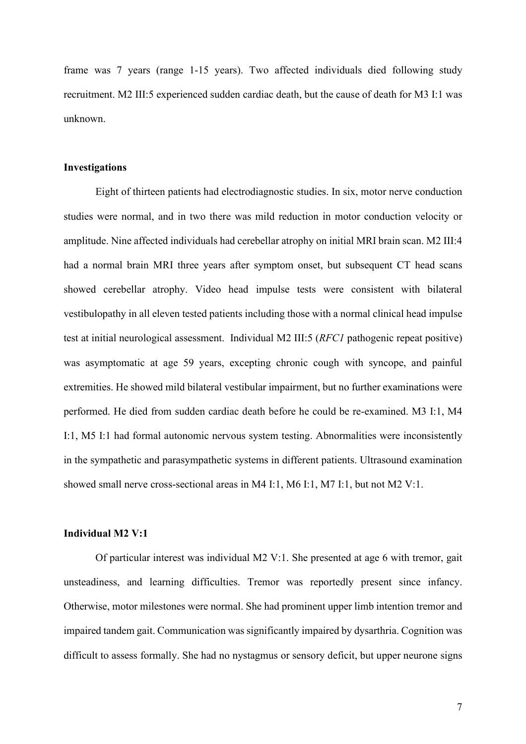frame was 7 years (range 1-15 years). Two affected individuals died following study recruitment. M2 III:5 experienced sudden cardiac death, but the cause of death for M3 I:1 was unknown.

#### **Investigations**

Eight of thirteen patients had electrodiagnostic studies. In six, motor nerve conduction studies were normal, and in two there was mild reduction in motor conduction velocity or amplitude. Nine affected individuals had cerebellar atrophy on initial MRI brain scan. M2 III:4 had a normal brain MRI three years after symptom onset, but subsequent CT head scans showed cerebellar atrophy. Video head impulse tests were consistent with bilateral vestibulopathy in all eleven tested patients including those with a normal clinical head impulse test at initial neurological assessment. Individual M2 III:5 (*RFC1* pathogenic repeat positive) was asymptomatic at age 59 years, excepting chronic cough with syncope, and painful extremities. He showed mild bilateral vestibular impairment, but no further examinations were performed. He died from sudden cardiac death before he could be re-examined. M3 I:1, M4 I:1, M5 I:1 had formal autonomic nervous system testing. Abnormalities were inconsistently in the sympathetic and parasympathetic systems in different patients. Ultrasound examination showed small nerve cross-sectional areas in M4 I:1, M6 I:1, M7 I:1, but not M2 V:1.

## **Individual M2 V:1**

Of particular interest was individual M2 V:1. She presented at age 6 with tremor, gait unsteadiness, and learning difficulties. Tremor was reportedly present since infancy. Otherwise, motor milestones were normal. She had prominent upper limb intention tremor and impaired tandem gait. Communication was significantly impaired by dysarthria. Cognition was difficult to assess formally. She had no nystagmus or sensory deficit, but upper neurone signs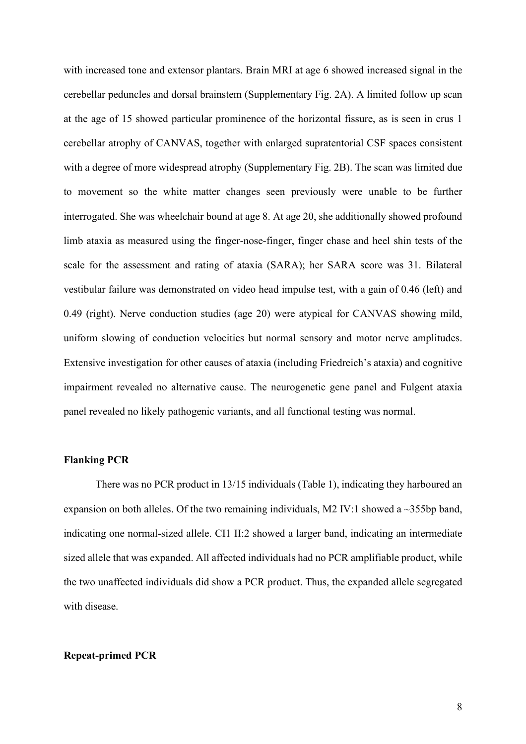with increased tone and extensor plantars. Brain MRI at age 6 showed increased signal in the cerebellar peduncles and dorsal brainstem (Supplementary Fig. 2A). A limited follow up scan at the age of 15 showed particular prominence of the horizontal fissure, as is seen in crus 1 cerebellar atrophy of CANVAS, together with enlarged supratentorial CSF spaces consistent with a degree of more widespread atrophy (Supplementary Fig. 2B). The scan was limited due to movement so the white matter changes seen previously were unable to be further interrogated. She was wheelchair bound at age 8. At age 20, she additionally showed profound limb ataxia as measured using the finger-nose-finger, finger chase and heel shin tests of the scale for the assessment and rating of ataxia (SARA); her SARA score was 31. Bilateral vestibular failure was demonstrated on video head impulse test, with a gain of 0.46 (left) and 0.49 (right). Nerve conduction studies (age 20) were atypical for CANVAS showing mild, uniform slowing of conduction velocities but normal sensory and motor nerve amplitudes. Extensive investigation for other causes of ataxia (including Friedreich's ataxia) and cognitive impairment revealed no alternative cause. The neurogenetic gene panel and Fulgent ataxia panel revealed no likely pathogenic variants, and all functional testing was normal.

# **Flanking PCR**

There was no PCR product in 13/15 individuals (Table 1), indicating they harboured an expansion on both alleles. Of the two remaining individuals, M2 IV:1 showed a  $\sim$ 355bp band, indicating one normal-sized allele. CI1 II:2 showed a larger band, indicating an intermediate sized allele that was expanded. All affected individuals had no PCR amplifiable product, while the two unaffected individuals did show a PCR product. Thus, the expanded allele segregated with disease.

# **Repeat-primed PCR**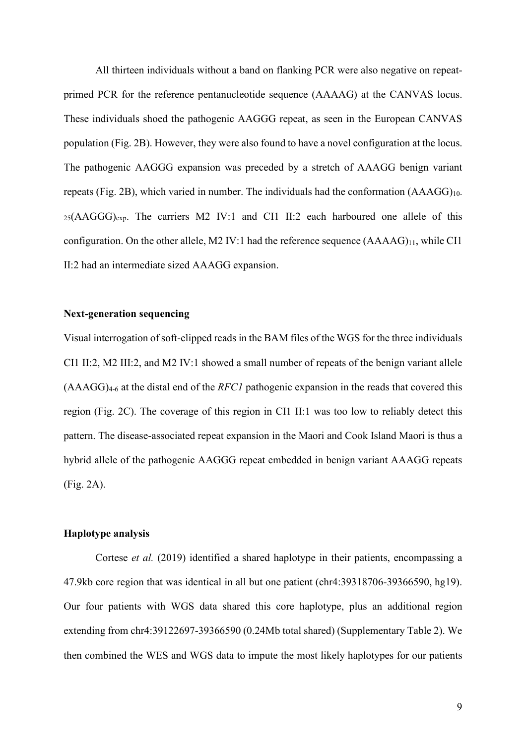All thirteen individuals without a band on flanking PCR were also negative on repeatprimed PCR for the reference pentanucleotide sequence (AAAAG) at the CANVAS locus. These individuals shoed the pathogenic AAGGG repeat, as seen in the European CANVAS population (Fig. 2B). However, they were also found to have a novel configuration at the locus. The pathogenic AAGGG expansion was preceded by a stretch of AAAGG benign variant repeats (Fig. 2B), which varied in number. The individuals had the conformation (AAAGG)<sub>10</sub>.  $25(AAGGG)_{exp}$ . The carriers M2 IV:1 and CI1 II:2 each harboured one allele of this configuration. On the other allele, M2 IV:1 had the reference sequence  $(AAAAG)_{11}$ , while CI1 II:2 had an intermediate sized AAAGG expansion.

# **Next-generation sequencing**

Visual interrogation of soft-clipped reads in the BAM files of the WGS for the three individuals CI1 II:2, M2 III:2, and M2 IV:1 showed a small number of repeats of the benign variant allele (AAAGG)4-6 at the distal end of the *RFC1* pathogenic expansion in the reads that covered this region (Fig. 2C). The coverage of this region in CI1 II:1 was too low to reliably detect this pattern. The disease-associated repeat expansion in the Maori and Cook Island Maori is thus a hybrid allele of the pathogenic AAGGG repeat embedded in benign variant AAAGG repeats (Fig. 2A).

# **Haplotype analysis**

Cortese *et al.* (2019) identified a shared haplotype in their patients, encompassing a 47.9kb core region that was identical in all but one patient (chr4:39318706-39366590, hg19). Our four patients with WGS data shared this core haplotype, plus an additional region extending from chr4:39122697-39366590 (0.24Mb total shared) (Supplementary Table 2). We then combined the WES and WGS data to impute the most likely haplotypes for our patients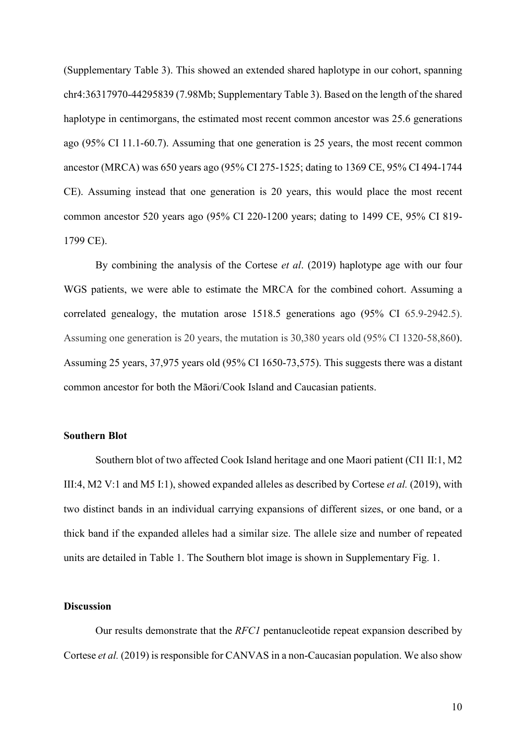(Supplementary Table 3). This showed an extended shared haplotype in our cohort, spanning chr4:36317970-44295839 (7.98Mb; Supplementary Table 3). Based on the length of the shared haplotype in centimorgans, the estimated most recent common ancestor was 25.6 generations ago (95% CI 11.1-60.7). Assuming that one generation is 25 years, the most recent common ancestor (MRCA) was 650 years ago (95% CI 275-1525; dating to 1369 CE, 95% CI 494-1744 CE). Assuming instead that one generation is 20 years, this would place the most recent common ancestor 520 years ago (95% CI 220-1200 years; dating to 1499 CE, 95% CI 819- 1799 CE).

By combining the analysis of the Cortese *et al*. (2019) haplotype age with our four WGS patients, we were able to estimate the MRCA for the combined cohort. Assuming a correlated genealogy, the mutation arose 1518.5 generations ago (95% CI 65.9-2942.5). Assuming one generation is 20 years, the mutation is 30,380 years old (95% CI 1320-58,860). Assuming 25 years, 37,975 years old (95% CI 1650-73,575). This suggests there was a distant common ancestor for both the Māori/Cook Island and Caucasian patients.

## **Southern Blot**

Southern blot of two affected Cook Island heritage and one Maori patient (CI1 II:1, M2 III:4, M2 V:1 and M5 I:1), showed expanded alleles as described by Cortese *et al.* (2019), with two distinct bands in an individual carrying expansions of different sizes, or one band, or a thick band if the expanded alleles had a similar size. The allele size and number of repeated units are detailed in Table 1. The Southern blot image is shown in Supplementary Fig. 1.

# **Discussion**

Our results demonstrate that the *RFC1* pentanucleotide repeat expansion described by Cortese *et al.* (2019) is responsible for CANVAS in a non-Caucasian population. We also show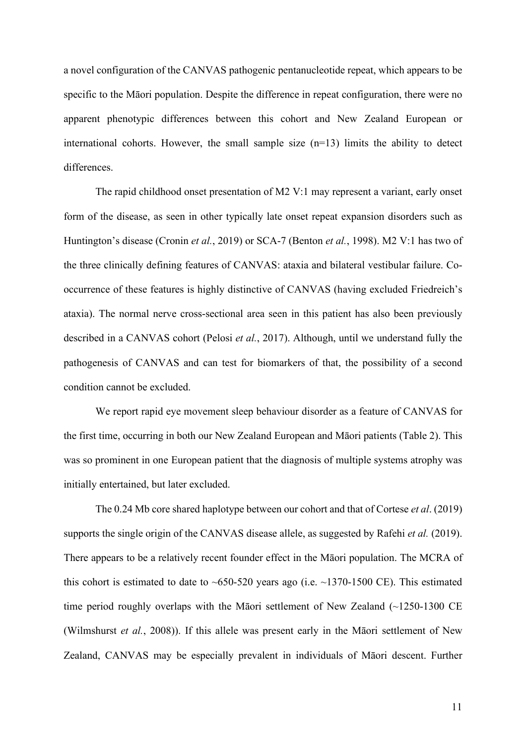a novel configuration of the CANVAS pathogenic pentanucleotide repeat, which appears to be specific to the Māori population. Despite the difference in repeat configuration, there were no apparent phenotypic differences between this cohort and New Zealand European or international cohorts. However, the small sample size  $(n=13)$  limits the ability to detect differences.

The rapid childhood onset presentation of M2 V:1 may represent a variant, early onset form of the disease, as seen in other typically late onset repeat expansion disorders such as Huntington's disease (Cronin *et al.*, 2019) or SCA-7 (Benton *et al.*, 1998). M2 V:1 has two of the three clinically defining features of CANVAS: ataxia and bilateral vestibular failure. Cooccurrence of these features is highly distinctive of CANVAS (having excluded Friedreich's ataxia). The normal nerve cross-sectional area seen in this patient has also been previously described in a CANVAS cohort (Pelosi *et al.*, 2017). Although, until we understand fully the pathogenesis of CANVAS and can test for biomarkers of that, the possibility of a second condition cannot be excluded.

We report rapid eye movement sleep behaviour disorder as a feature of CANVAS for the first time, occurring in both our New Zealand European and Māori patients (Table 2). This was so prominent in one European patient that the diagnosis of multiple systems atrophy was initially entertained, but later excluded.

The 0.24 Mb core shared haplotype between our cohort and that of Cortese *et al*. (2019) supports the single origin of the CANVAS disease allele, as suggested by Rafehi *et al.* (2019). There appears to be a relatively recent founder effect in the Māori population. The MCRA of this cohort is estimated to date to  $\sim 650 - 520$  years ago (i.e.  $\sim 1370 - 1500$  CE). This estimated time period roughly overlaps with the Māori settlement of New Zealand (~1250-1300 CE (Wilmshurst *et al.*, 2008)). If this allele was present early in the Māori settlement of New Zealand, CANVAS may be especially prevalent in individuals of Māori descent. Further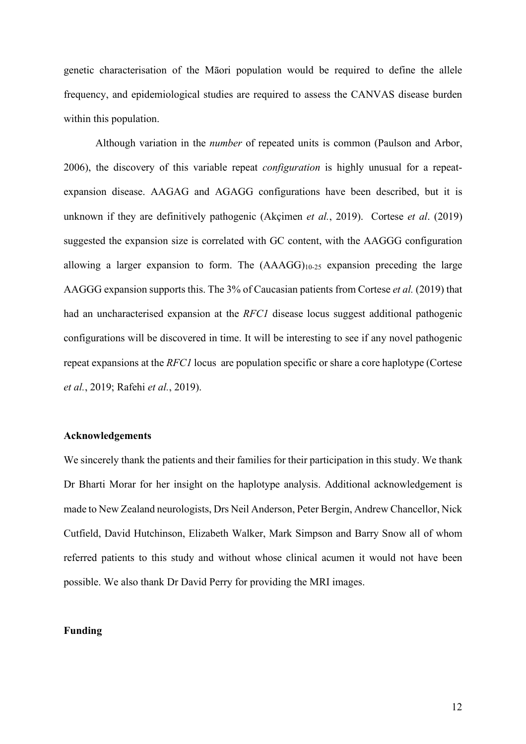genetic characterisation of the Māori population would be required to define the allele frequency, and epidemiological studies are required to assess the CANVAS disease burden within this population.

Although variation in the *number* of repeated units is common (Paulson and Arbor, 2006), the discovery of this variable repeat *configuration* is highly unusual for a repeatexpansion disease. AAGAG and AGAGG configurations have been described, but it is unknown if they are definitively pathogenic (Akçimen *et al.*, 2019). Cortese *et al*. (2019) suggested the expansion size is correlated with GC content, with the AAGGG configuration allowing a larger expansion to form. The (AAAGG)10-25 expansion preceding the large AAGGG expansion supports this. The 3% of Caucasian patients from Cortese *et al.* (2019) that had an uncharacterised expansion at the *RFC1* disease locus suggest additional pathogenic configurations will be discovered in time. It will be interesting to see if any novel pathogenic repeat expansions at the *RFC1* locus are population specific or share a core haplotype (Cortese *et al.*, 2019; Rafehi *et al.*, 2019).

#### **Acknowledgements**

We sincerely thank the patients and their families for their participation in this study. We thank Dr Bharti Morar for her insight on the haplotype analysis. Additional acknowledgement is made to New Zealand neurologists, Drs Neil Anderson, Peter Bergin, Andrew Chancellor, Nick Cutfield, David Hutchinson, Elizabeth Walker, Mark Simpson and Barry Snow all of whom referred patients to this study and without whose clinical acumen it would not have been possible. We also thank Dr David Perry for providing the MRI images.

# **Funding**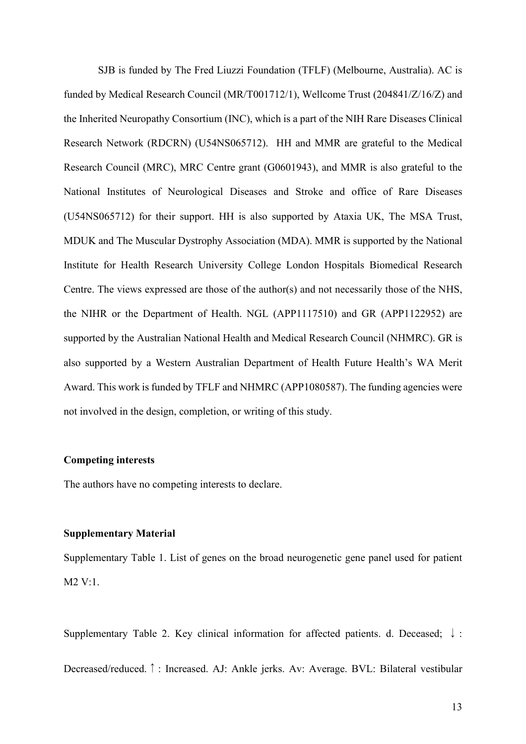SJB is funded by The Fred Liuzzi Foundation (TFLF) (Melbourne, Australia). AC is funded by Medical Research Council (MR/T001712/1), Wellcome Trust (204841/Z/16/Z) and the Inherited Neuropathy Consortium (INC), which is a part of the NIH Rare Diseases Clinical Research Network (RDCRN) (U54NS065712). HH and MMR are grateful to the Medical Research Council (MRC), MRC Centre grant (G0601943), and MMR is also grateful to the National Institutes of Neurological Diseases and Stroke and office of Rare Diseases (U54NS065712) for their support. HH is also supported by Ataxia UK, The MSA Trust, MDUK and The Muscular Dystrophy Association (MDA). MMR is supported by the National Institute for Health Research University College London Hospitals Biomedical Research Centre. The views expressed are those of the author(s) and not necessarily those of the NHS, the NIHR or the Department of Health. NGL (APP1117510) and GR (APP1122952) are supported by the Australian National Health and Medical Research Council (NHMRC). GR is also supported by a Western Australian Department of Health Future Health's WA Merit Award. This work is funded by TFLF and NHMRC (APP1080587). The funding agencies were not involved in the design, completion, or writing of this study.

# **Competing interests**

The authors have no competing interests to declare.

#### **Supplementary Material**

Supplementary Table 1. List of genes on the broad neurogenetic gene panel used for patient M2 V:1.

Supplementary Table 2. Key clinical information for affected patients. d. Deceased; ↓:

Decreased/reduced.↑: Increased. AJ: Ankle jerks. Av: Average. BVL: Bilateral vestibular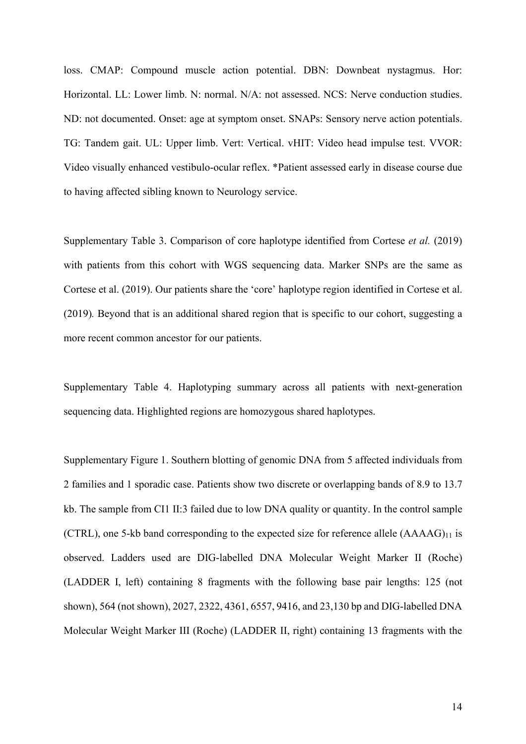loss. CMAP: Compound muscle action potential. DBN: Downbeat nystagmus. Hor: Horizontal. LL: Lower limb. N: normal. N/A: not assessed. NCS: Nerve conduction studies. ND: not documented. Onset: age at symptom onset. SNAPs: Sensory nerve action potentials. TG: Tandem gait. UL: Upper limb. Vert: Vertical. vHIT: Video head impulse test. VVOR: Video visually enhanced vestibulo-ocular reflex. \*Patient assessed early in disease course due to having affected sibling known to Neurology service.

Supplementary Table 3. Comparison of core haplotype identified from Cortese *et al.* (2019) with patients from this cohort with WGS sequencing data. Marker SNPs are the same as Cortese et al. (2019). Our patients share the 'core' haplotype region identified in Cortese et al. (2019)*.* Beyond that is an additional shared region that is specific to our cohort, suggesting a more recent common ancestor for our patients.

Supplementary Table 4. Haplotyping summary across all patients with next-generation sequencing data. Highlighted regions are homozygous shared haplotypes.

Supplementary Figure 1. Southern blotting of genomic DNA from 5 affected individuals from 2 families and 1 sporadic case. Patients show two discrete or overlapping bands of 8.9 to 13.7 kb. The sample from CI1 II:3 failed due to low DNA quality or quantity. In the control sample (CTRL), one 5-kb band corresponding to the expected size for reference allele  $(AAAAG)_{11}$  is observed. Ladders used are DIG-labelled DNA Molecular Weight Marker II (Roche) (LADDER I, left) containing 8 fragments with the following base pair lengths: 125 (not shown), 564 (not shown), 2027, 2322, 4361, 6557, 9416, and 23,130 bp and DIG-labelled DNA Molecular Weight Marker III (Roche) (LADDER II, right) containing 13 fragments with the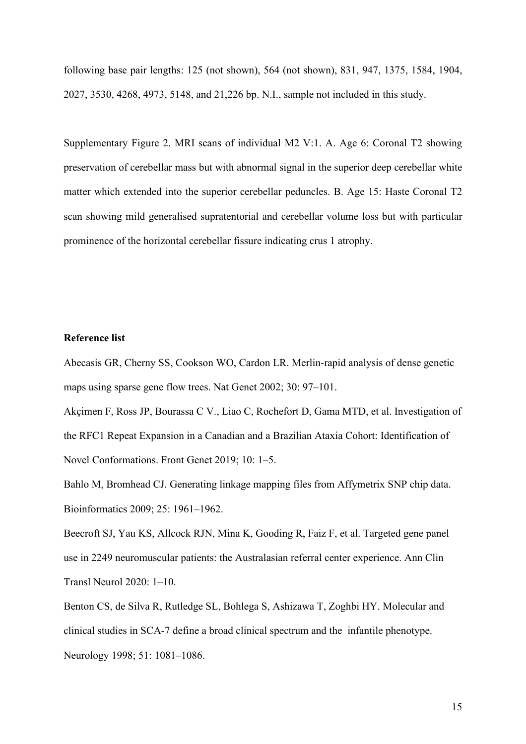following base pair lengths: 125 (not shown), 564 (not shown), 831, 947, 1375, 1584, 1904, 2027, 3530, 4268, 4973, 5148, and 21,226 bp. N.I., sample not included in this study.

Supplementary Figure 2. MRI scans of individual M2 V:1. A. Age 6: Coronal T2 showing preservation of cerebellar mass but with abnormal signal in the superior deep cerebellar white matter which extended into the superior cerebellar peduncles. B. Age 15: Haste Coronal T2 scan showing mild generalised supratentorial and cerebellar volume loss but with particular prominence of the horizontal cerebellar fissure indicating crus 1 atrophy.

# **Reference list**

Abecasis GR, Cherny SS, Cookson WO, Cardon LR. Merlin-rapid analysis of dense genetic maps using sparse gene flow trees. Nat Genet 2002; 30: 97–101.

Akçimen F, Ross JP, Bourassa C V., Liao C, Rochefort D, Gama MTD, et al. Investigation of the RFC1 Repeat Expansion in a Canadian and a Brazilian Ataxia Cohort: Identification of Novel Conformations. Front Genet 2019; 10: 1–5.

Bahlo M, Bromhead CJ. Generating linkage mapping files from Affymetrix SNP chip data. Bioinformatics 2009; 25: 1961–1962.

Beecroft SJ, Yau KS, Allcock RJN, Mina K, Gooding R, Faiz F, et al. Targeted gene panel use in 2249 neuromuscular patients: the Australasian referral center experience. Ann Clin Transl Neurol 2020: 1–10.

Benton CS, de Silva R, Rutledge SL, Bohlega S, Ashizawa T, Zoghbi HY. Molecular and clinical studies in SCA-7 define a broad clinical spectrum and the infantile phenotype. Neurology 1998; 51: 1081–1086.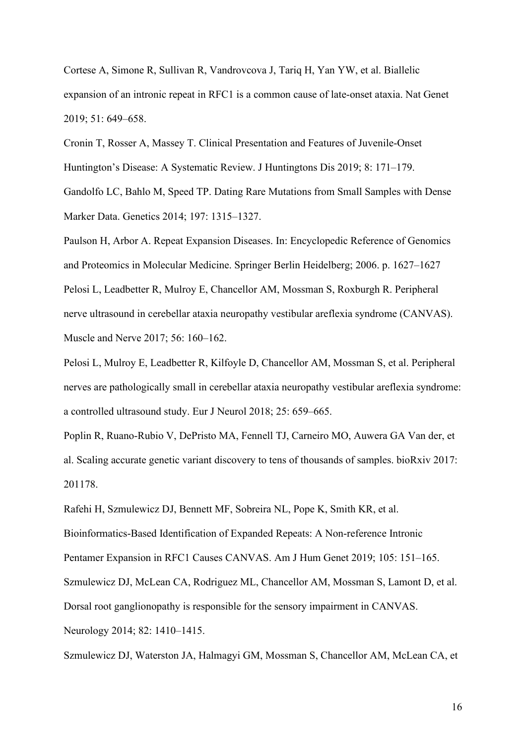Cortese A, Simone R, Sullivan R, Vandrovcova J, Tariq H, Yan YW, et al. Biallelic expansion of an intronic repeat in RFC1 is a common cause of late-onset ataxia. Nat Genet 2019; 51: 649–658.

Cronin T, Rosser A, Massey T. Clinical Presentation and Features of Juvenile-Onset Huntington's Disease: A Systematic Review. J Huntingtons Dis 2019; 8: 171–179. Gandolfo LC, Bahlo M, Speed TP. Dating Rare Mutations from Small Samples with Dense Marker Data. Genetics 2014; 197: 1315–1327.

Paulson H, Arbor A. Repeat Expansion Diseases. In: Encyclopedic Reference of Genomics and Proteomics in Molecular Medicine. Springer Berlin Heidelberg; 2006. p. 1627–1627 Pelosi L, Leadbetter R, Mulroy E, Chancellor AM, Mossman S, Roxburgh R. Peripheral nerve ultrasound in cerebellar ataxia neuropathy vestibular areflexia syndrome (CANVAS). Muscle and Nerve 2017; 56: 160–162.

Pelosi L, Mulroy E, Leadbetter R, Kilfoyle D, Chancellor AM, Mossman S, et al. Peripheral nerves are pathologically small in cerebellar ataxia neuropathy vestibular areflexia syndrome: a controlled ultrasound study. Eur J Neurol 2018; 25: 659–665.

Poplin R, Ruano-Rubio V, DePristo MA, Fennell TJ, Carneiro MO, Auwera GA Van der, et al. Scaling accurate genetic variant discovery to tens of thousands of samples. bioRxiv 2017: 201178.

Rafehi H, Szmulewicz DJ, Bennett MF, Sobreira NL, Pope K, Smith KR, et al. Bioinformatics-Based Identification of Expanded Repeats: A Non-reference Intronic Pentamer Expansion in RFC1 Causes CANVAS. Am J Hum Genet 2019; 105: 151–165. Szmulewicz DJ, McLean CA, Rodriguez ML, Chancellor AM, Mossman S, Lamont D, et al. Dorsal root ganglionopathy is responsible for the sensory impairment in CANVAS. Neurology 2014; 82: 1410–1415.

Szmulewicz DJ, Waterston JA, Halmagyi GM, Mossman S, Chancellor AM, McLean CA, et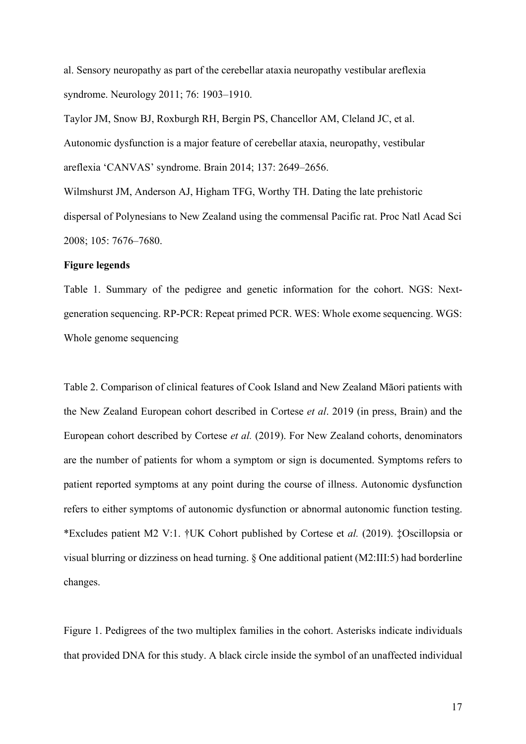al. Sensory neuropathy as part of the cerebellar ataxia neuropathy vestibular areflexia syndrome. Neurology 2011; 76: 1903–1910.

Taylor JM, Snow BJ, Roxburgh RH, Bergin PS, Chancellor AM, Cleland JC, et al. Autonomic dysfunction is a major feature of cerebellar ataxia, neuropathy, vestibular areflexia 'CANVAS' syndrome. Brain 2014; 137: 2649–2656.

Wilmshurst JM, Anderson AJ, Higham TFG, Worthy TH. Dating the late prehistoric dispersal of Polynesians to New Zealand using the commensal Pacific rat. Proc Natl Acad Sci 2008; 105: 7676–7680.

# **Figure legends**

Table 1. Summary of the pedigree and genetic information for the cohort. NGS: Nextgeneration sequencing. RP-PCR: Repeat primed PCR. WES: Whole exome sequencing. WGS: Whole genome sequencing

Table 2. Comparison of clinical features of Cook Island and New Zealand Māori patients with the New Zealand European cohort described in Cortese *et al*. 2019 (in press, Brain) and the European cohort described by Cortese *et al.* (2019). For New Zealand cohorts, denominators are the number of patients for whom a symptom or sign is documented. Symptoms refers to patient reported symptoms at any point during the course of illness. Autonomic dysfunction refers to either symptoms of autonomic dysfunction or abnormal autonomic function testing. \*Excludes patient M2 V:1. †UK Cohort published by Cortese et *al.* (2019). ‡Oscillopsia or visual blurring or dizziness on head turning. § One additional patient (M2:III:5) had borderline changes.

Figure 1. Pedigrees of the two multiplex families in the cohort. Asterisks indicate individuals that provided DNA for this study. A black circle inside the symbol of an unaffected individual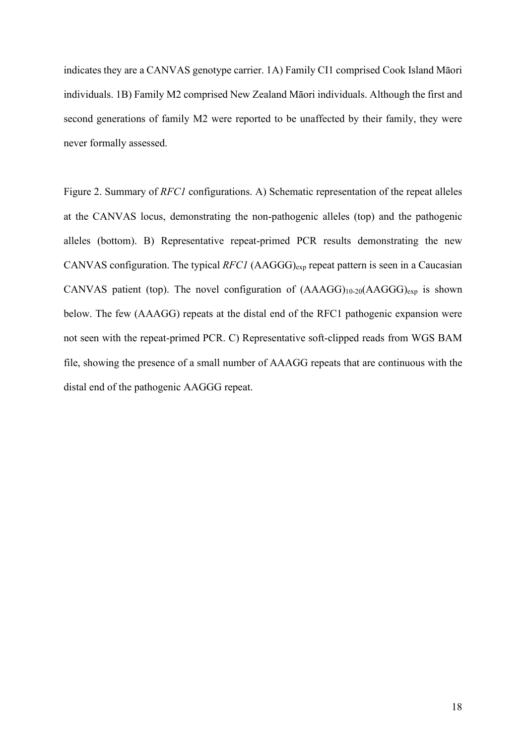indicates they are a CANVAS genotype carrier. 1A) Family CI1 comprised Cook Island Māori individuals. 1B) Family M2 comprised New Zealand Māori individuals. Although the first and second generations of family M2 were reported to be unaffected by their family, they were never formally assessed.

Figure 2. Summary of *RFC1* configurations. A) Schematic representation of the repeat alleles at the CANVAS locus, demonstrating the non-pathogenic alleles (top) and the pathogenic alleles (bottom). B) Representative repeat-primed PCR results demonstrating the new CANVAS configuration. The typical *RFC1* (AAGGG)<sub>exp</sub> repeat pattern is seen in a Caucasian CANVAS patient (top). The novel configuration of  $(AAAGG)_{10-20}(AAGGG)_{exp}$  is shown below. The few (AAAGG) repeats at the distal end of the RFC1 pathogenic expansion were not seen with the repeat-primed PCR. C) Representative soft-clipped reads from WGS BAM file, showing the presence of a small number of AAAGG repeats that are continuous with the distal end of the pathogenic AAGGG repeat.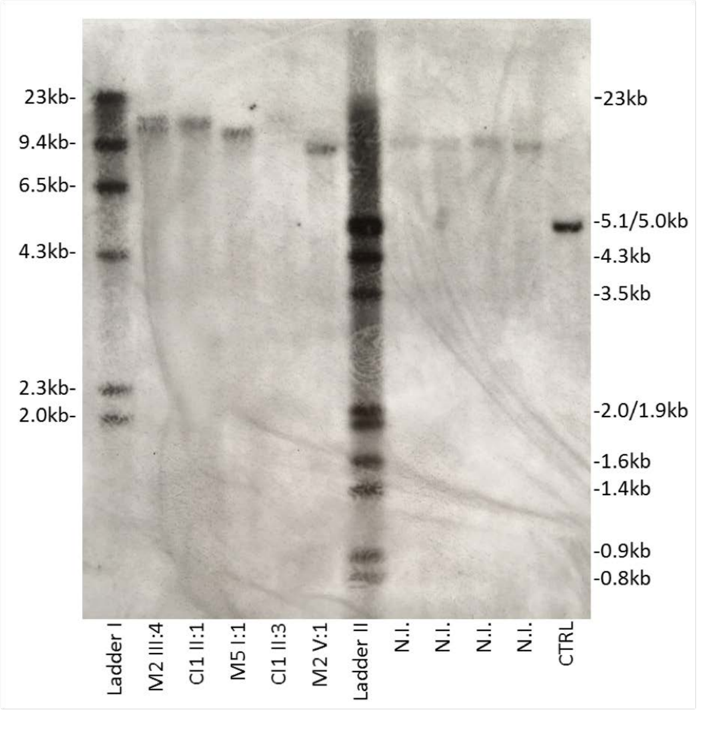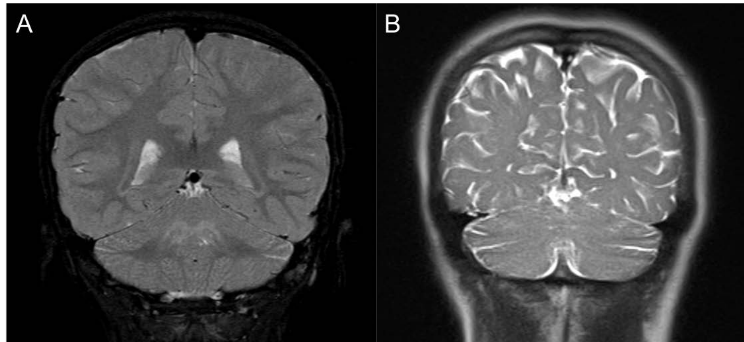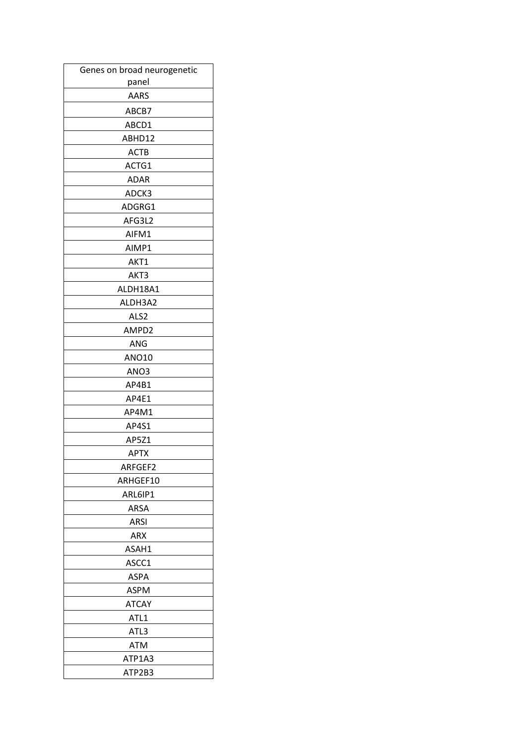| Genes on broad neurogenetic |
|-----------------------------|
| panel                       |
| <b>AARS</b>                 |
| ABCB7                       |
| ABCD1                       |
| ABHD12                      |
| <b>ACTB</b>                 |
| ACTG1                       |
| <b>ADAR</b>                 |
| ADCK3                       |
| ADGRG1                      |
| AFG3L2                      |
| AIFM1                       |
| AIMP1                       |
| AKT1                        |
| AKT3                        |
| ALDH18A1                    |
| ALDH3A2                     |
| ALS <sub>2</sub>            |
| AMPD2                       |
| ANG                         |
| <b>ANO10</b>                |
| ANO3                        |
| AP4B1                       |
| AP4E1                       |
| AP4M1                       |
| AP4S1                       |
| AP5Z1                       |
| <b>APTX</b>                 |
| ARFGEF2                     |
| ARHGEF10                    |
| ARL6IP1                     |
| ARSA                        |
| <b>ARSI</b>                 |
| <b>ARX</b>                  |
| ASAH1                       |
| ASCC1                       |
| <b>ASPA</b>                 |
| <b>ASPM</b>                 |
| ATCAY                       |
| ATL1                        |
| ATL3                        |
| <b>ATM</b>                  |
| ATP1A3                      |
| ATP2B3                      |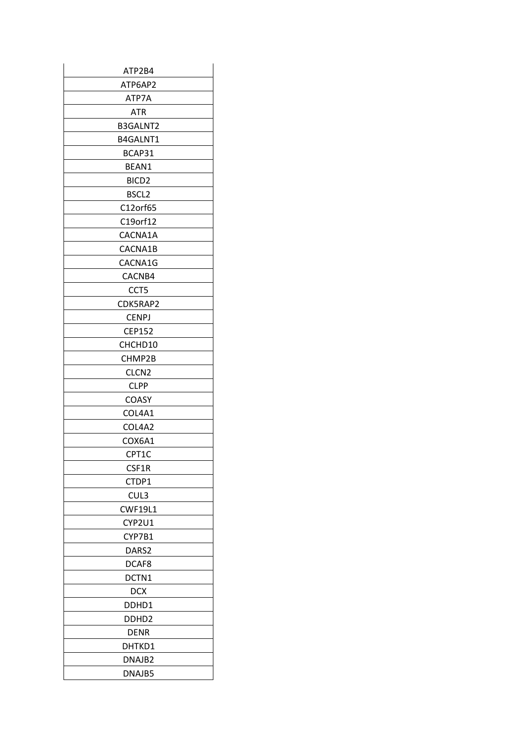| ATP2B4            |
|-------------------|
| ATP6AP2           |
| ATP7A             |
| ATR               |
| B3GALNT2          |
| B4GALNT1          |
| BCAP31            |
| BEAN1             |
| BICD <sub>2</sub> |
| BSCL <sub>2</sub> |
| C12orf65          |
| C19orf12          |
| CACNA1A           |
| CACNA1B           |
| CACNA1G           |
| CACNB4            |
| CCT5              |
| CDK5RAP2          |
| <b>CENPJ</b>      |
| <b>CEP152</b>     |
| CHCHD10           |
| CHMP2B            |
| CLCN <sub>2</sub> |
| <b>CLPP</b>       |
| <b>COASY</b>      |
| COL4A1            |
| COL4A2            |
| COX6A1            |
| CPT1C             |
| CSF1R             |
| CTDP1             |
| CUL3              |
| <b>CWF19L1</b>    |
| CYP2U1            |
| CYP7B1            |
| DARS2             |
| DCAF8             |
| DCTN1             |
| <b>DCX</b>        |
| DDHD1             |
| DDHD <sub>2</sub> |
| <b>DENR</b>       |
| DHTKD1            |
| DNAJB2            |
| DNAJB5            |
|                   |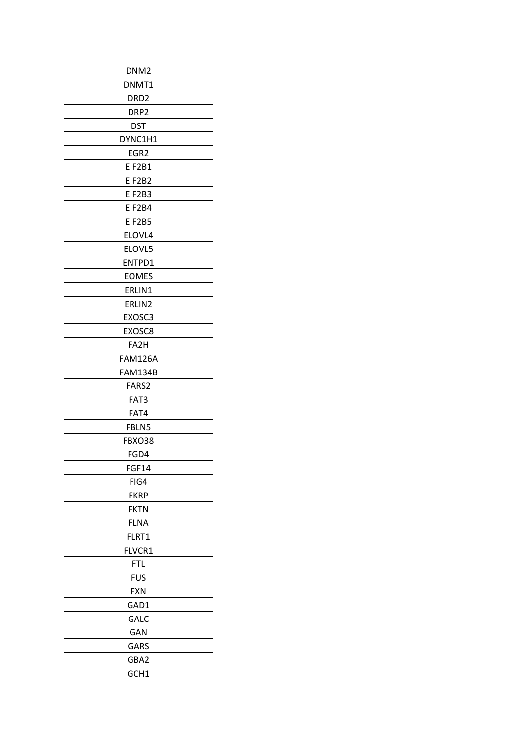| DNM <sub>2</sub>  |
|-------------------|
| DNMT1             |
| DRD <sub>2</sub>  |
| DRP <sub>2</sub>  |
| <b>DST</b>        |
| DYNC1H1           |
| EGR <sub>2</sub>  |
| EIF2B1            |
| EIF2B2            |
| EIF2B3            |
| EIF2B4            |
| EIF2B5            |
| ELOVL4            |
| ELOVL5            |
| ENTPD1            |
| <b>EOMES</b>      |
| ERLIN1            |
| ERLIN2            |
| EXOSC3            |
| EXOSC8            |
| FA <sub>2</sub> H |
| <b>FAM126A</b>    |
| <b>FAM134B</b>    |
| FARS2             |
| FAT3              |
| FAT4              |
| FBLN5             |
| FBXO38            |
| FGD4              |
| <b>FGF14</b>      |
| FIG4              |
| <b>FKRP</b>       |
| <b>FKTN</b>       |
| <b>FLNA</b>       |
| FLRT1             |
| FLVCR1            |
| <b>FTL</b>        |
| <b>FUS</b>        |
| <b>FXN</b>        |
| GAD1              |
| GALC              |
| GAN               |
| GARS              |
| GBA2              |
| GCH1              |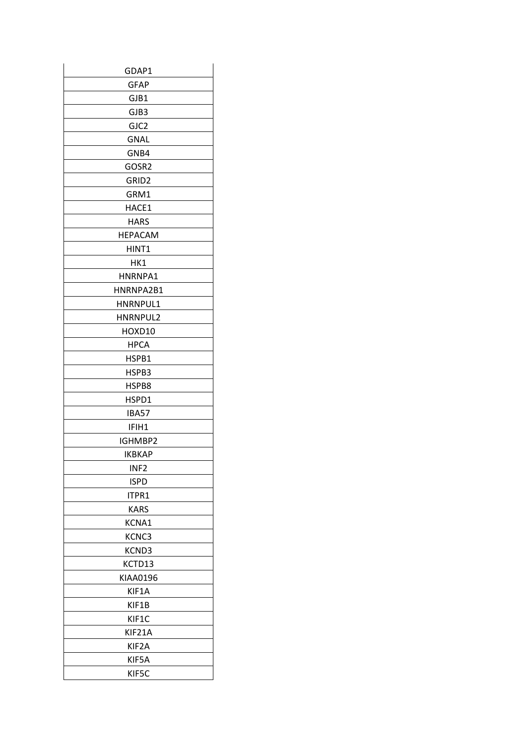| GDAP1            |
|------------------|
| GFAP             |
| GJB1             |
| GJB3             |
| GJC2             |
| GNAL             |
| GNB4             |
| GOSR2            |
| GRID2            |
| GRM1             |
| HACE1            |
| HARS             |
| <b>HEPACAM</b>   |
| HINT1            |
| HK1              |
| HNRNPA1          |
| HNRNPA2B1        |
| HNRNPUL1         |
| <b>HNRNPUL2</b>  |
| HOXD10           |
| <b>HPCA</b>      |
| HSPB1            |
| HSPB3            |
| HSPB8            |
| HSPD1            |
| IBA57            |
| IFIH1            |
| IGHMBP2          |
| <b>IKBKAP</b>    |
| INF <sub>2</sub> |
| <b>ISPD</b>      |
| ITPR1            |
| <b>KARS</b>      |
| KCNA1            |
| KCNC3            |
| KCND3            |
| KCTD13           |
| KIAA0196         |
| KIF1A            |
| KIF1B            |
| KIF1C            |
| KIF21A           |
| KIF2A            |
| KIF5A            |
| KIF5C            |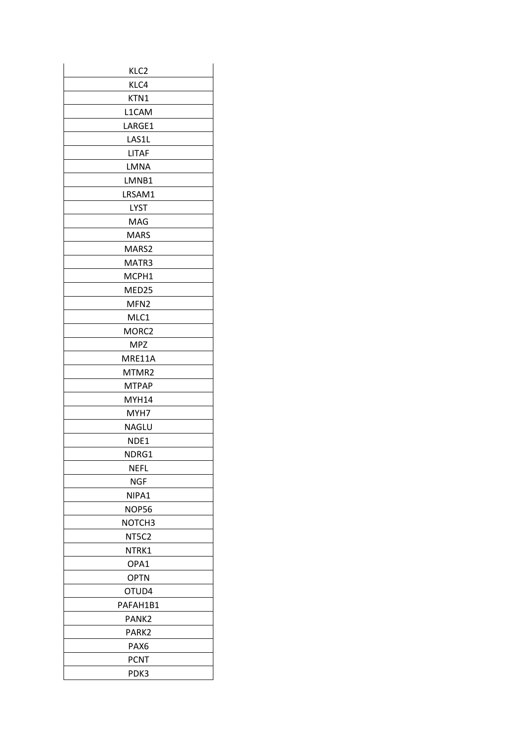| KLC <sub>2</sub>   |
|--------------------|
| KLC4               |
| KTN1               |
| L1CAM              |
| LARGE1             |
| LAS1L              |
| <b>LITAF</b>       |
| <b>LMNA</b>        |
| LMNB1              |
| LRSAM1             |
| <b>LYST</b>        |
| MAG                |
| <b>MARS</b>        |
| MARS2              |
| MATR3              |
| MCPH1              |
| MED25              |
| MFN <sub>2</sub>   |
| MLC1               |
| MORC2              |
| MPZ                |
| MRE11A             |
| MTMR2              |
| <b>MTPAP</b>       |
| <b>MYH14</b>       |
| MYH7               |
| NAGLU              |
| NDE1               |
| NDRG1              |
| <b>NEFL</b>        |
| <b>NGF</b>         |
| NIPA1              |
| <b>NOP56</b>       |
| NOTCH <sub>3</sub> |
| NT5C2              |
| NTRK1              |
| OPA1               |
| <b>OPTN</b>        |
| OTUD4              |
| PAFAH1B1           |
| PANK2              |
| PARK2              |
| PAX6               |
|                    |
| <b>PCNT</b>        |
| PDK3               |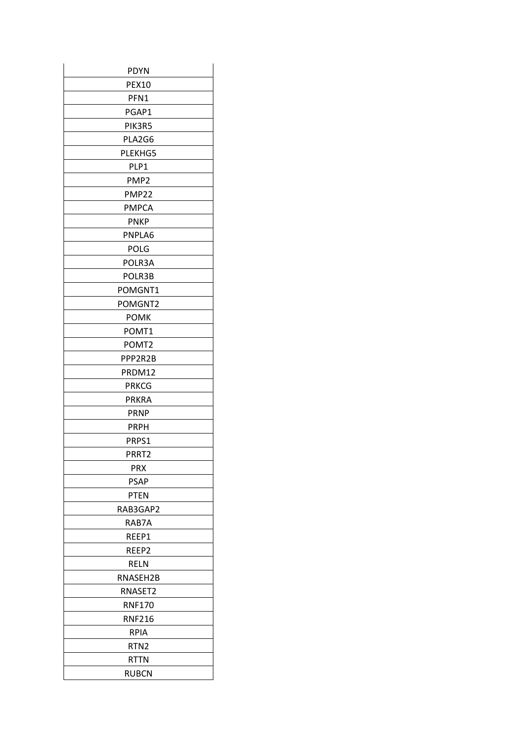| <b>PDYN</b>       |
|-------------------|
| <b>PEX10</b>      |
| PFN1              |
| PGAP1             |
| PIK3R5            |
| PLA2G6            |
| PLEKHG5           |
| PLP1              |
| PMP <sub>2</sub>  |
| <b>PMP22</b>      |
| <b>PMPCA</b>      |
| <b>PNKP</b>       |
| PNPLA6            |
| POLG              |
| POLR3A            |
| POLR3B            |
| POMGNT1           |
| POMGNT2           |
| <b>POMK</b>       |
| POMT1             |
| POMT <sub>2</sub> |
| PPP2R2B           |
| PRDM12            |
| PRKCG             |
| <b>PRKRA</b>      |
| <b>PRNP</b>       |
| PRPH              |
| PRPS1             |
| PRRT2             |
| <b>PRX</b>        |
| <b>PSAP</b>       |
| <b>PTEN</b>       |
| RAB3GAP2          |
| RAB7A             |
| REEP1             |
| REEP2             |
| RELN              |
| RNASEH2B          |
| RNASET2           |
| <b>RNF170</b>     |
| <b>RNF216</b>     |
| RPIA              |
|                   |
| RTN2              |
| RTTN              |
| <b>RUBCN</b>      |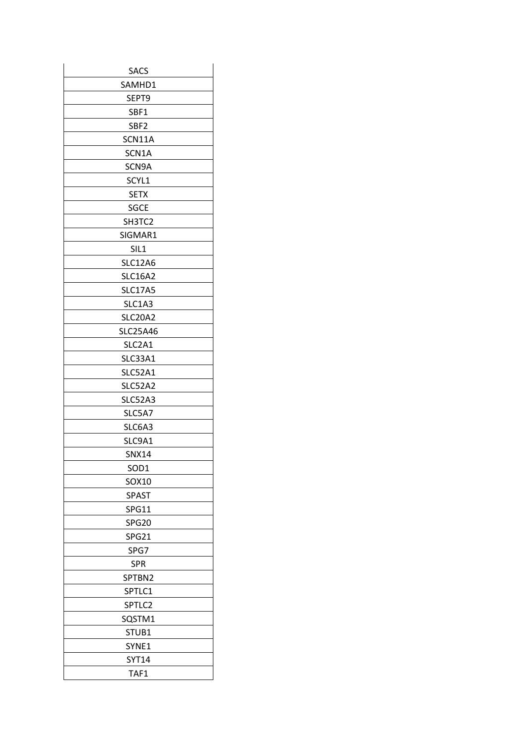| <b>SACS</b>       |
|-------------------|
| SAMHD1            |
| SEPT9             |
| SBF1              |
| SBF <sub>2</sub>  |
| SCN11A            |
| SCN1A             |
| SCN9A             |
| SCYL1             |
| <b>SETX</b>       |
| <b>SGCE</b>       |
| SH3TC2            |
| SIGMAR1           |
| SIL1              |
| <b>SLC12A6</b>    |
| <b>SLC16A2</b>    |
| <b>SLC17A5</b>    |
| SLC1A3            |
| SLC20A2           |
| <b>SLC25A46</b>   |
| SLC2A1            |
| SLC33A1           |
| SLC52A1           |
| SLC52A2           |
| SLC52A3           |
| SLC5A7            |
| SLC6A3            |
| SLC9A1            |
| <b>SNX14</b>      |
| SOD1              |
| SOX10             |
| <b>SPAST</b>      |
| <b>SPG11</b>      |
| SPG <sub>20</sub> |
| SPG21             |
| SPG7              |
| <b>SPR</b>        |
| SPTBN2            |
| SPTLC1            |
| SPTLC2            |
| SQSTM1            |
| STUB1             |
| SYNE1             |
| <b>SYT14</b>      |
| TAF1              |
|                   |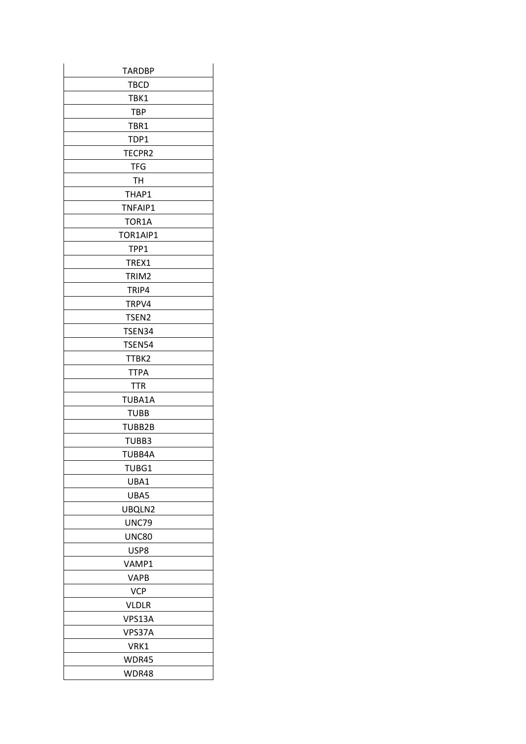| <b>TARDBP</b>     |
|-------------------|
| <b>TBCD</b>       |
| TBK1              |
| <b>TBP</b>        |
| TBR1              |
| TDP1              |
| TECPR2            |
| <b>TFG</b>        |
| <b>TH</b>         |
| THAP1             |
| TNFAIP1           |
| TOR1A             |
| TOR1AIP1          |
| TPP1              |
| TREX1             |
| TRIM2             |
| TRIP4             |
| TRPV4             |
| TSEN <sub>2</sub> |
| TSEN34            |
| <b>TSEN54</b>     |
| TTBK2             |
| <b>TTPA</b>       |
| <b>TTR</b>        |
| TUBA1A            |
| <b>TUBB</b>       |
| TUBB2B            |
| TUBB3             |
| TUBB4A            |
| TUBG1             |
| UBA1              |
| UBA5              |
| UBQLN2            |
| UNC79             |
| UNC80             |
| USP8              |
| VAMP1             |
| <b>VAPB</b>       |
| <b>VCP</b>        |
| <b>VLDLR</b>      |
| VPS13A            |
| VPS37A            |
| VRK1              |
| WDR45             |
| WDR48             |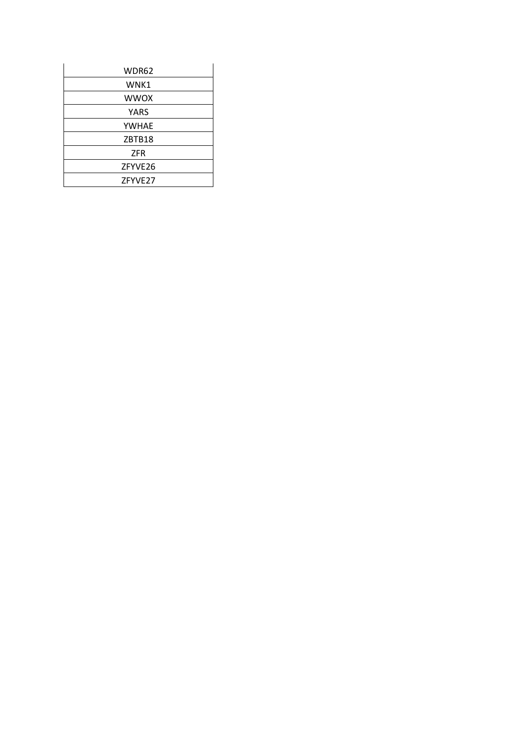| WDR62        |
|--------------|
| WNK1         |
| wwox         |
| YARS         |
| <b>YWHAE</b> |
| ZBTB18       |
| <b>ZFR</b>   |
| ZFYVE26      |
| ZFYVE27      |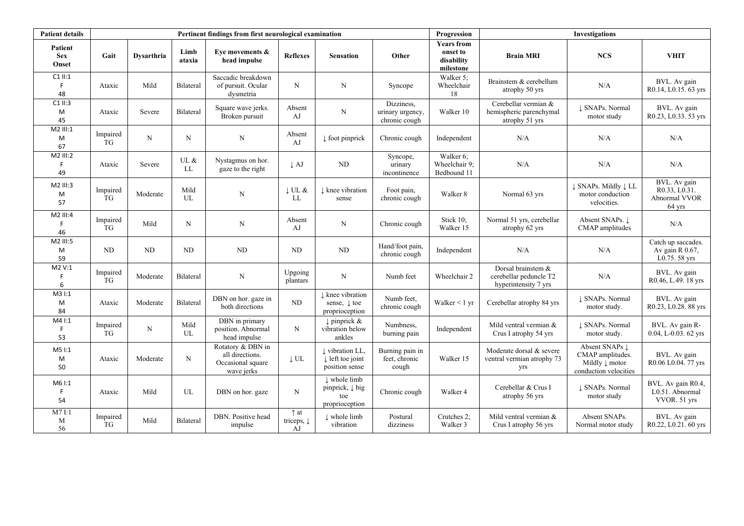| <b>Patient details</b>         | Pertinent findings from first neurological examination |                   |                   |                                                                         |                                              |                                                                     |                                                 | Progression                                              | Investigations                                                                     |                                                                                          |                                                            |  |
|--------------------------------|--------------------------------------------------------|-------------------|-------------------|-------------------------------------------------------------------------|----------------------------------------------|---------------------------------------------------------------------|-------------------------------------------------|----------------------------------------------------------|------------------------------------------------------------------------------------|------------------------------------------------------------------------------------------|------------------------------------------------------------|--|
| Patient<br><b>Sex</b><br>Onset | Gait                                                   | <b>Dysarthria</b> | Limb<br>ataxia    | Eve movements &<br>head impulse                                         | <b>Reflexes</b>                              | <b>Sensation</b>                                                    | Other                                           | <b>Years from</b><br>onset to<br>disability<br>milestone | <b>Brain MRI</b>                                                                   | <b>NCS</b>                                                                               | <b>VHIT</b>                                                |  |
| $C1$ II:1<br>F<br>48           | Ataxic                                                 | Mild              | Bilateral         | Saccadic breakdown<br>of pursuit. Ocular<br>dysmetria                   | $\mathbf N$                                  | N                                                                   | Syncope                                         | Walker 5;<br>Wheelchair<br>18                            | Brainstem & cerebellum<br>atrophy 50 yrs                                           | N/A                                                                                      | BVL. Av gain<br>R0.14, L0.15. 63 yrs                       |  |
| C1 II:3<br>M<br>45             | Ataxic                                                 | Severe            | Bilateral         | Square wave jerks.<br>Broken pursuit                                    | Absent<br>AJ                                 | N                                                                   | Dizziness,<br>urinary urgency,<br>chronic cough | Walker 10                                                | Cerebellar vermian &<br>hemispheric parenchymal<br>atrophy 51 yrs                  | L SNAPs. Normal<br>motor study                                                           | BVL. Av gain<br>R0.23, L0.33. 53 yrs                       |  |
| M2 III:1<br>M<br>67            | Impaired<br>TG                                         | ${\bf N}$         | $\mathbf N$       | $\mathbf N$                                                             | Absent<br>AJ                                 | $\downarrow$ foot pinprick                                          | Chronic cough                                   | Independent                                              | N/A                                                                                | N/A                                                                                      |                                                            |  |
| M2 III:2<br>49                 | Ataxic                                                 | Severe            | UL $\&$<br>LL     | Nystagmus on hor.<br>gaze to the right                                  | $\downarrow$ AJ                              | ${\rm ND}$                                                          | Syncope,<br>urinary<br>incontinence             | Walker 6;<br>Wheelchair 9;<br>Bedbound 11                | N/A                                                                                | N/A                                                                                      |                                                            |  |
| M2 III:3<br>M<br>57            | Impaired<br>TG                                         | Moderate          | Mild<br>UL        | $\mathbf N$                                                             | $\downarrow$ UL &<br>LL                      | 1 knee vibration<br>sense                                           | Foot pain,<br>chronic cough                     | Walker 8                                                 | Normal 63 yrs                                                                      | ↓ SNAPs. Mildly ↓ LL<br>motor conduction<br>velocities.                                  | BVL. Av gain<br>R0.33, L0.31.<br>Abnormal VVOR<br>$64$ yrs |  |
| M2 III:4<br>F<br>46            | Impaired<br>TG                                         | Mild              | $\mathbf N$       | $\mathbf N$                                                             | Absent<br>AJ                                 | $\mathbf N$                                                         | Chronic cough                                   | Stick 10:<br>Walker 15                                   | Normal 51 yrs, cerebellar<br>atrophy 62 yrs                                        | Absent SNAPs. 1<br>CMAP amplitudes                                                       | N/A                                                        |  |
| M2 III:5<br>M<br>59            | ND                                                     | ND                | <b>ND</b>         | ND                                                                      | ND                                           | ND                                                                  | Hand/foot pain,<br>chronic cough                | Independent                                              | N/A                                                                                | N/A                                                                                      | Catch up saccades.<br>Av gain R 0.67,<br>L0.75. 58 yrs     |  |
| M2 V:1<br>F<br>6               | Impaired<br>TG                                         | Moderate          | Bilateral         | $\mathbf N$                                                             | Upgoing<br>plantars                          | $\mathbf N$                                                         | Numb feet                                       | Wheelchair 2                                             | Dorsal brainstem &<br>cerebellar peduncle T2<br>hyperintensity 7 yrs               | N/A                                                                                      | BVL. Av gain<br>R0.46, L.49. 18 yrs                        |  |
| M3 I:1<br>M<br>84              | Ataxic                                                 | Moderate          | Bilateral         | DBN on hor. gaze in<br>both directions                                  | ND                                           | 1 knee vibration<br>sense, ↓ toe<br>proprioception                  | Numb feet,<br>chronic cough                     | Walker $< 1$ yr                                          | Cerebellar atrophy 84 yrs                                                          | J SNAPs. Normal<br>motor study.                                                          | BVL. Av gain<br>R0.23, L0.28. 88 yrs                       |  |
| M4 I:1<br>F<br>53              | Impaired<br>TG                                         | ${\bf N}$         | Mild<br><b>UL</b> | DBN in primary<br>position. Abnormal<br>head impulse                    | N                                            | $\downarrow$ pinprick &<br>vibration below<br>ankles                | Numbness,<br>burning pain                       | Independent                                              | Mild ventral vermian &<br>J SNAPs. Normal<br>Crus I atrophy 54 yrs<br>motor study. |                                                                                          | BVL. Av gain R-<br>$0.04$ , L- $0.03$ . 62 yrs             |  |
| M5 I:1<br>М<br>50              | Ataxic                                                 | Moderate          | ${\bf N}$         | Rotatory & DBN in<br>all directions.<br>Occasional square<br>wave jerks | $\downarrow$ UL                              | $\downarrow$ vibration LL,<br>I left toe joint<br>position sense    | Burning pain in<br>feet, chronic<br>cough       | Walker 15                                                | Moderate dorsal & severe<br>ventral vermian atrophy 73<br>yrs                      | Absent SNAPs 1<br>CMAP amplitudes.<br>Mildly $\downarrow$ motor<br>conduction velocities |                                                            |  |
| M61:1<br>F<br>54               | Ataxic                                                 | Mild              | UL                | DBN on hor. gaze                                                        | N                                            | l whole limb<br>pinprick, $\downarrow$ big<br>toe<br>proprioception | Chronic cough                                   | Walker 4                                                 | Cerebellar & Crus I<br>atrophy 56 yrs                                              | L SNAPs. Normal<br>motor study                                                           |                                                            |  |
| M7I:1<br>M<br>56               | Impaired<br>TG                                         | Mild              | Bilateral         | DBN. Positive head<br>impulse                                           | $\uparrow$ at<br>triceps, $\downarrow$<br>AJ | $\downarrow$ whole limb<br>vibration                                | Postural<br>dizziness                           | Crutches 2;<br>Walker 3                                  | Mild ventral vermian &<br>Crus I atrophy 56 yrs                                    | Absent SNAPs.<br>Normal motor study                                                      |                                                            |  |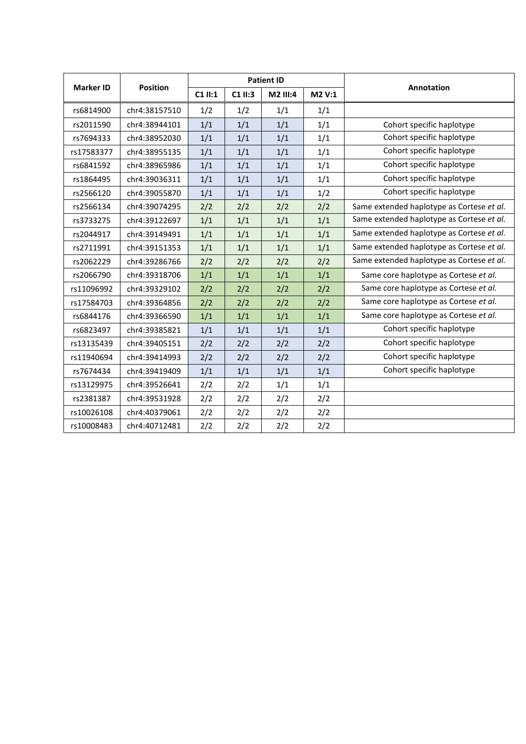|                  |                 |                                            |     | <b>Patient ID</b> |     |                                           |  |  |  |
|------------------|-----------------|--------------------------------------------|-----|-------------------|-----|-------------------------------------------|--|--|--|
| <b>Marker ID</b> | <b>Position</b> | $C1$ II:1<br>C1 II:3<br>M2 V:1<br>M2 III:4 |     |                   |     | Annotation                                |  |  |  |
| rs6814900        | chr4:38157510   | 1/2                                        | 1/2 | 1/1               | 1/1 |                                           |  |  |  |
| rs2011590        | chr4:38944101   | 1/1                                        | 1/1 | 1/1               | 1/1 | Cohort specific haplotype                 |  |  |  |
| rs7694333        | chr4:38952030   | 1/1                                        | 1/1 | 1/1               | 1/1 | Cohort specific haplotype                 |  |  |  |
| rs17583377       | chr4:38955135   | 1/1                                        | 1/1 | 1/1               | 1/1 | Cohort specific haplotype                 |  |  |  |
| rs6841592        | chr4:38965986   | 1/1                                        | 1/1 | 1/1               | 1/1 | Cohort specific haplotype                 |  |  |  |
| rs1864495        | chr4:39036311   | 1/1                                        | 1/1 | 1/1               | 1/1 | Cohort specific haplotype                 |  |  |  |
| rs2566120        | chr4:39055870   | 1/1                                        | 1/1 | 1/1               | 1/2 | Cohort specific haplotype                 |  |  |  |
| rs2566134        | chr4:39074295   | 2/2                                        | 2/2 | 2/2               | 2/2 | Same extended haplotype as Cortese et al. |  |  |  |
| rs3733275        | chr4:39122697   | 1/1                                        | 1/1 | 1/1               | 1/1 | Same extended haplotype as Cortese et al. |  |  |  |
| rs2044917        | chr4:39149491   | 1/1                                        | 1/1 | 1/1               | 1/1 | Same extended haplotype as Cortese et al. |  |  |  |
| rs2711991        | chr4:39151353   | 1/1                                        | 1/1 | 1/1               | 1/1 | Same extended haplotype as Cortese et al. |  |  |  |
| rs2062229        | chr4:39286766   | 2/2                                        | 2/2 | 2/2               | 2/2 | Same extended haplotype as Cortese et al. |  |  |  |
| rs2066790        | chr4:39318706   | 1/1                                        | 1/1 | 1/1               | 1/1 | Same core haplotype as Cortese et al.     |  |  |  |
| rs11096992       | chr4:39329102   | 2/2                                        | 2/2 | 2/2               | 2/2 | Same core haplotype as Cortese et al.     |  |  |  |
| rs17584703       | chr4:39364856   | 2/2                                        | 2/2 | 2/2               | 2/2 | Same core haplotype as Cortese et al.     |  |  |  |
| rs6844176        | chr4:39366590   | 1/1                                        | 1/1 | 1/1               | 1/1 | Same core haplotype as Cortese et al.     |  |  |  |
| rs6823497        | chr4:39385821   | 1/1                                        | 1/1 | 1/1               | 1/1 | Cohort specific haplotype                 |  |  |  |
| rs13135439       | chr4:39405151   | 2/2                                        | 2/2 | 2/2               | 2/2 | Cohort specific haplotype                 |  |  |  |
| rs11940694       | chr4:39414993   | 2/2                                        | 2/2 | 2/2               | 2/2 | Cohort specific haplotype                 |  |  |  |
| rs7674434        | chr4:39419409   | 1/1                                        | 1/1 | 1/1               | 1/1 | Cohort specific haplotype                 |  |  |  |
| rs13129975       | chr4:39526641   | 2/2                                        | 2/2 | 1/1               | 1/1 |                                           |  |  |  |
| rs2381387        | chr4:39531928   | 2/2                                        | 2/2 | 2/2               | 2/2 |                                           |  |  |  |
| rs10026108       | chr4:40379061   | 2/2                                        | 2/2 | 2/2               | 2/2 |                                           |  |  |  |
| rs10008483       | chr4:40712481   | 2/2                                        | 2/2 | 2/2               | 2/2 |                                           |  |  |  |